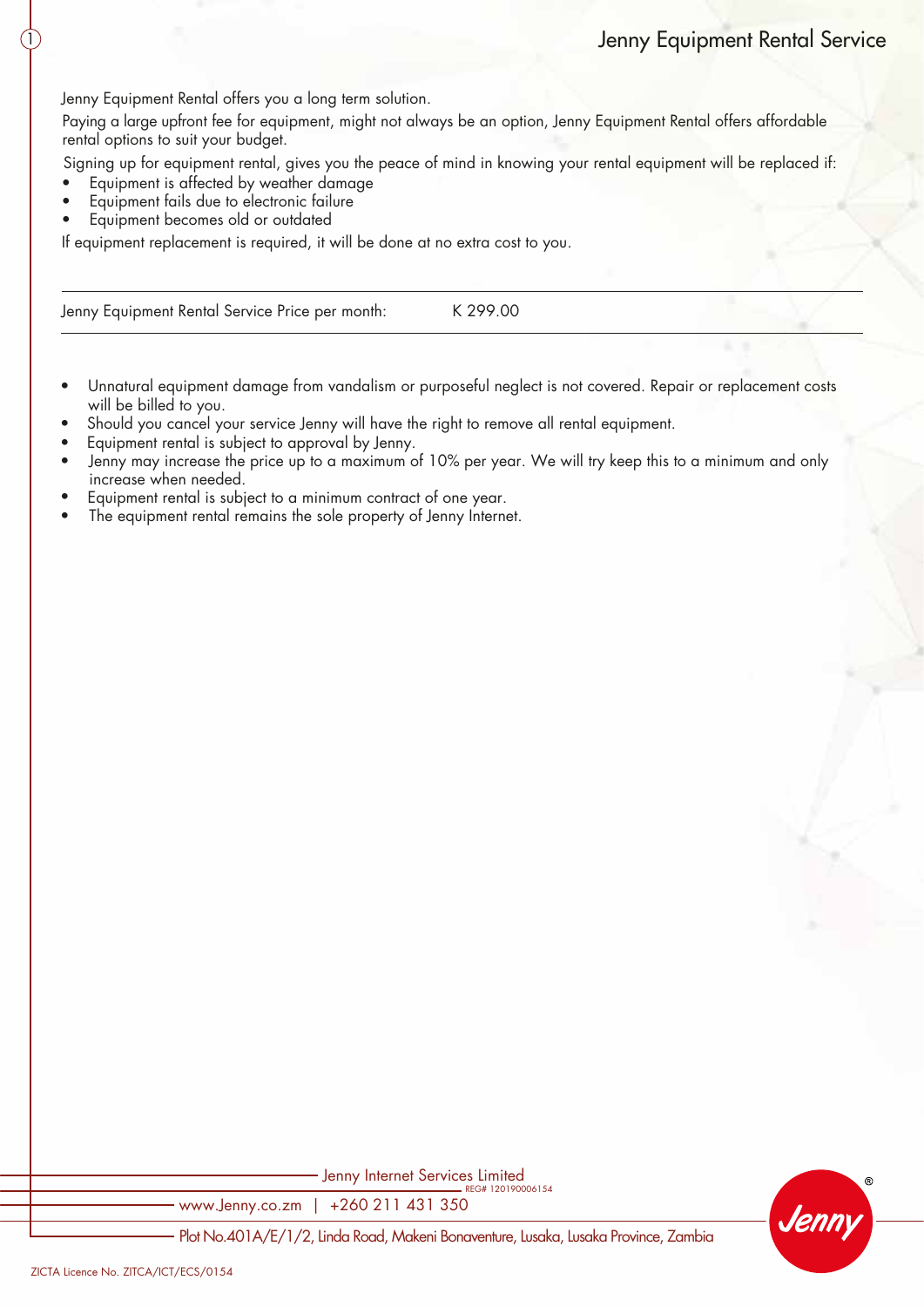Jenny Equipment Rental offers you a long term solution.

Paying a large upfront fee for equipment, might not always be an option, Jenny Equipment Rental offers affordable rental options to suit your budget.

Signing up for equipment rental, gives you the peace of mind in knowing your rental equipment will be replaced if:

- Equipment is affected by weather damage
- Equipment fails due to electronic failure
- Equipment becomes old or outdated

1

If equipment replacement is required, it will be done at no extra cost to you.

Jenny Equipment Rental Service Price per month: K 299.00

- Unnatural equipment damage from vandalism or purposeful neglect is not covered. Repair or replacement costs will be billed to you.
- Should you cancel your service Jenny will have the right to remove all rental equipment.
- Equipment rental is subject to approval by Jenny.
- Jenny may increase the price up to a maximum of 10% per year. We will try keep this to a minimum and only increase when needed.
- Equipment rental is subject to a minimum contract of one year.
- The equipment rental remains the sole property of Jenny Internet.

Jenny Internet Services Limited<br>
REG# 120190006154

www.Jenny.co.zm | +260 211 431 350



Plot No.401A/E/1/2, Linda Road, Makeni Bonaventure, Lusaka, Lusaka Province, Zambia